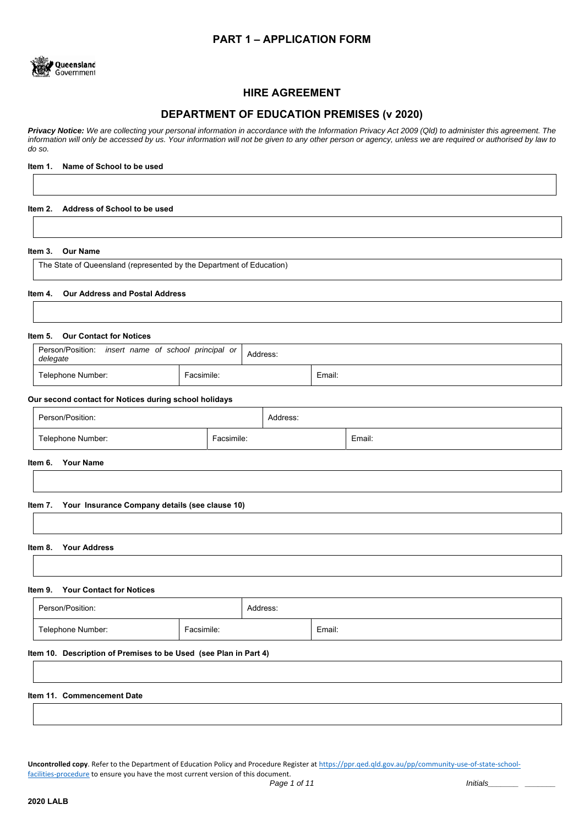# **PART 1 – APPLICATION FORM**



# **HIRE AGREEMENT**

# **DEPARTMENT OF EDUCATION PREMISES (v 2020)**

*Privacy Notice: We are collecting your personal information in accordance with the Information Privacy Act 2009 (Qld) to administer this agreement. The information will only be accessed by us. Your information will not be given to any other person or agency, unless we are required or authorised by law to do so.* 

## **Item 1. Name of School to be used**

### **Item 2. Address of School to be used**

## **Item 3. Our Name**

The State of Queensland (represented by the Department of Education)

### **Item 4. Our Address and Postal Address**

## **Item 5. Our Contact for Notices**

| Person/Position:<br>insert name of school principal or<br>delegate | Address:   |        |
|--------------------------------------------------------------------|------------|--------|
| Telephone Number:                                                  | Facsimile: | Email: |

#### **Our second contact for Notices during school holidays**

| Person/Position:  |            | Address: |        |
|-------------------|------------|----------|--------|
| Telephone Number: | Facsimile: |          | Email: |

## **Item 6. Your Name**

#### **Item 7. Your Insurance Company details (see clause 10)**

#### **Item 8. Your Address**

#### **Item 9. Your Contact for Notices**

|                                                                  | Person/Position:  |            | Address: |        |
|------------------------------------------------------------------|-------------------|------------|----------|--------|
|                                                                  | Telephone Number: | Facsimile: |          | Email: |
| Item 10. Description of Premises to be Used (see Plan in Part 4) |                   |            |          |        |

#### **Item 11. Commencement Date**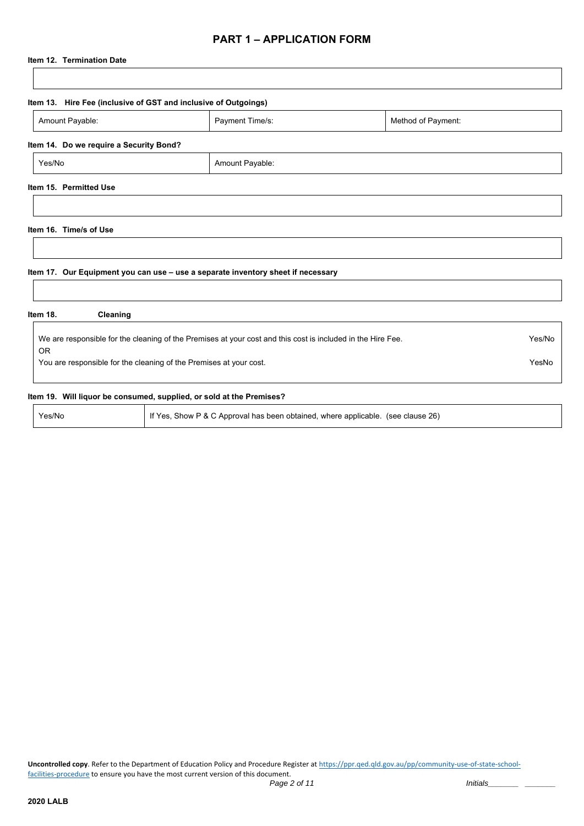# **PART 1 – APPLICATION FORM**

## **Item 12. Termination Date**

| Amount Payable:                         | Payment Time/s:                                                                                             | Method of Payment: |        |
|-----------------------------------------|-------------------------------------------------------------------------------------------------------------|--------------------|--------|
|                                         |                                                                                                             |                    |        |
| Item 14. Do we require a Security Bond? |                                                                                                             |                    |        |
| Yes/No                                  | Amount Payable:                                                                                             |                    |        |
| Item 15. Permitted Use                  |                                                                                                             |                    |        |
|                                         |                                                                                                             |                    |        |
|                                         |                                                                                                             |                    |        |
|                                         |                                                                                                             |                    |        |
|                                         |                                                                                                             |                    |        |
|                                         |                                                                                                             |                    |        |
|                                         |                                                                                                             |                    |        |
|                                         | Item 17. Our Equipment you can use - use a separate inventory sheet if necessary                            |                    |        |
| Item 16. Time/s of Use                  |                                                                                                             |                    |        |
| Item 18.<br>Cleaning                    |                                                                                                             |                    |        |
|                                         |                                                                                                             |                    |        |
| <b>OR</b>                               | We are responsible for the cleaning of the Premises at your cost and this cost is included in the Hire Fee. |                    | Yes/No |

## **Item 19. Will liquor be consumed, supplied, or sold at the Premises?**

Yes/No **If Yes, Show P & C Approval has been obtained, where applicable.** (see clause 26)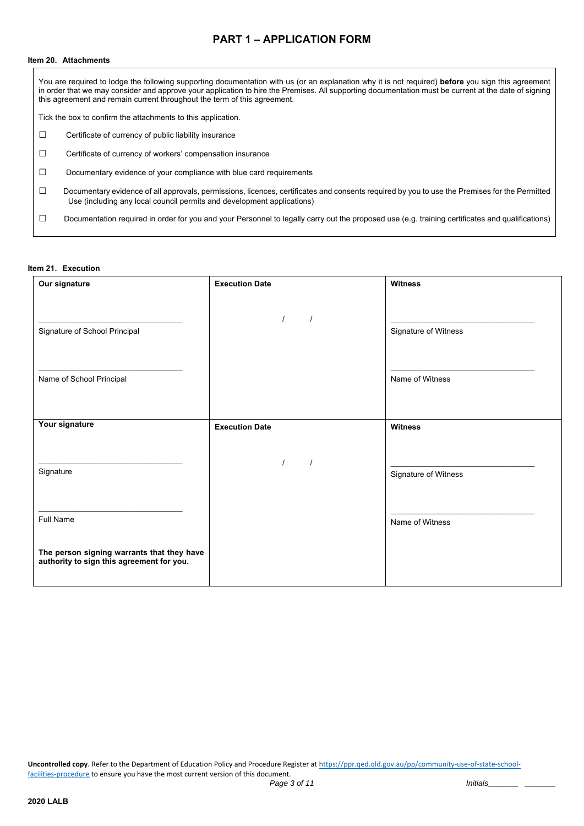# **PART 1 – APPLICATION FORM**

### **Item 20. Attachments**

You are required to lodge the following supporting documentation with us (or an explanation why it is not required) **before** you sign this agreement in order that we may consider and approve your application to hire the Premises. All supporting documentation must be current at the date of signing this agreement and remain current throughout the term of this agreement.

Tick the box to confirm the attachments to this application.

- **□** Certificate of currency of public liability insurance
- **□** Certificate of currency of workers' compensation insurance
- **□** Documentary evidence of your compliance with blue card requirements
- □ Documentary evidence of all approvals, permissions, licences, certificates and consents required by you to use the Premises for the Permitted Use (including any local council permits and development applications)
- □ Documentation required in order for you and your Personnel to legally carry out the proposed use (e.g. training certificates and qualifications)

### **Item 21. Execution**

| Our signature                                                                           | <b>Execution Date</b> | <b>Witness</b>       |
|-----------------------------------------------------------------------------------------|-----------------------|----------------------|
| Signature of School Principal                                                           | $\prime$              | Signature of Witness |
| Name of School Principal                                                                |                       | Name of Witness      |
| Your signature                                                                          | <b>Execution Date</b> | <b>Witness</b>       |
| Signature                                                                               | $\prime$<br>$\prime$  | Signature of Witness |
| <b>Full Name</b>                                                                        |                       | Name of Witness      |
| The person signing warrants that they have<br>authority to sign this agreement for you. |                       |                      |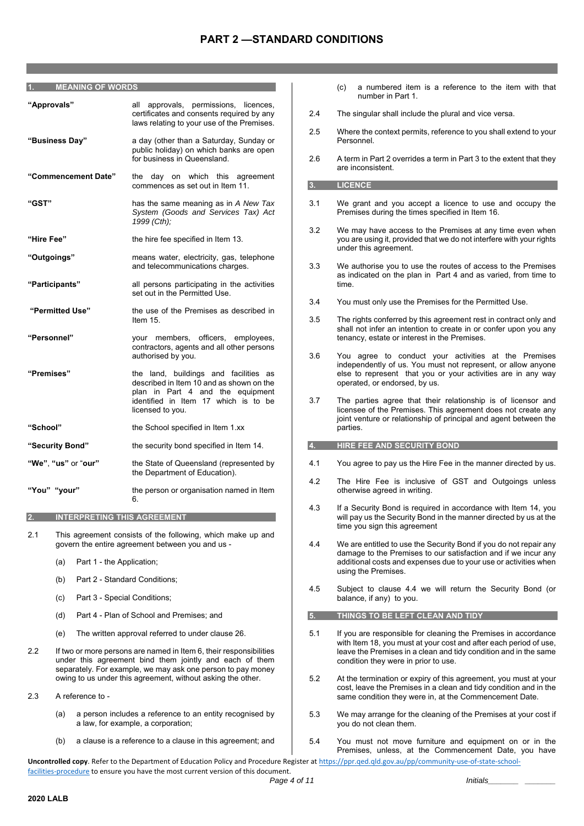#### **1. MEANING OF WORDS**

| "Approvals"         | all approvals, permissions, licences,<br>certificates and consents required by any<br>laws relating to your use of the Premises.                                                  |
|---------------------|-----------------------------------------------------------------------------------------------------------------------------------------------------------------------------------|
| "Business Day"      | a day (other than a Saturday, Sunday or<br>public holiday) on which banks are open<br>for business in Queensland.                                                                 |
| "Commencement Date" | the day on which this agreement<br>commences as set out in Item 11.                                                                                                               |
| "GST"               | has the same meaning as in A New Tax<br>System (Goods and Services Tax) Act<br>1999 (Cth);                                                                                        |
| "Hire Fee"          | the hire fee specified in Item 13.                                                                                                                                                |
| "Outgoings"         | means water, electricity, gas, telephone<br>and telecommunications charges.                                                                                                       |
| "Participants"      | all persons participating in the activities<br>set out in the Permitted Use.                                                                                                      |
| "Permitted Use"     | the use of the Premises as described in<br>Item 15.                                                                                                                               |
| "Personnel"         | your members, officers, employees,<br>contractors, agents and all other persons<br>authorised by you.                                                                             |
| "Premises"          | the land, buildings and facilities as<br>described in Item 10 and as shown on the<br>plan in Part 4 and the equipment<br>identified in Item 17 which is to be<br>licensed to you. |
| "School"            | the School specified in Item 1.xx                                                                                                                                                 |
| "Security Bond"     | the security bond specified in Item 14.                                                                                                                                           |
| "We", "us" or "our" | the State of Queensland (represented by<br>the Department of Education).                                                                                                          |
| "You" "your"        | the person or organisation named in Item<br>6.                                                                                                                                    |

#### **2. INTERPRETING THIS AGREEMENT**

- 2.1 This agreement consists of the following, which make up and govern the entire agreement between you and us -
	- (a) Part 1 the Application;
	- (b) Part 2 Standard Conditions;
	- (c) Part 3 Special Conditions;
	- (d) Part 4 Plan of School and Premises; and
	- (e) The written approval referred to under clause 26.
- 2.2 If two or more persons are named in Item 6, their responsibilities under this agreement bind them jointly and each of them separately. For example, we may ask one person to pay money owing to us under this agreement, without asking the other.
- 2.3 A reference to
	- (a) a person includes a reference to an entity recognised by a law, for example, a corporation;
	- (b) a clause is a reference to a clause in this agreement; and
- (c) a numbered item is a reference to the item with that number in Part 1.
- 2.4 The singular shall include the plural and vice versa.
- 2.5 Where the context permits, reference to you shall extend to your Personnel.
- 2.6 A term in Part 2 overrides a term in Part 3 to the extent that they are inconsistent.

#### **3. LICENCE**

- 3.1 We grant and you accept a licence to use and occupy the Premises during the times specified in Item 16.
- 3.2 We may have access to the Premises at any time even when you are using it, provided that we do not interfere with your rights under this agreement.
- 3.3 We authorise you to use the routes of access to the Premises as indicated on the plan in Part 4 and as varied, from time to time.
- 3.4 You must only use the Premises for the Permitted Use.
- 3.5 The rights conferred by this agreement rest in contract only and shall not infer an intention to create in or confer upon you any tenancy, estate or interest in the Premises.
- 3.6 You agree to conduct your activities at the Premises independently of us. You must not represent, or allow anyone else to represent that you or your activities are in any way operated, or endorsed, by us.
- 3.7 The parties agree that their relationship is of licensor and licensee of the Premises. This agreement does not create any joint venture or relationship of principal and agent between the parties.

## **4. HIRE FEE AND SECURITY BOND**

- 4.1 You agree to pay us the Hire Fee in the manner directed by us.
- 4.2 The Hire Fee is inclusive of GST and Outgoings unless otherwise agreed in writing.
- 4.3 If a Security Bond is required in accordance with Item 14, you will pay us the Security Bond in the manner directed by us at the time you sign this agreement
- 4.4 We are entitled to use the Security Bond if you do not repair any damage to the Premises to our satisfaction and if we incur any additional costs and expenses due to your use or activities when using the Premises.
- 4.5 Subject to clause 4.4 we will return the Security Bond (or balance, if any) to you.
- **5. THINGS TO BE LEFT CLEAN AND TIDY**
- 5.1 If you are responsible for cleaning the Premises in accordance with Item 18, you must at your cost and after each period of use, leave the Premises in a clean and tidy condition and in the same condition they were in prior to use.
- 5.2 At the termination or expiry of this agreement, you must at your cost, leave the Premises in a clean and tidy condition and in the same condition they were in, at the Commencement Date.
- 5.3 We may arrange for the cleaning of the Premises at your cost if you do not clean them.
- 5.4 You must not move furniture and equipment on or in the Premises, unless, at the Commencement Date, you have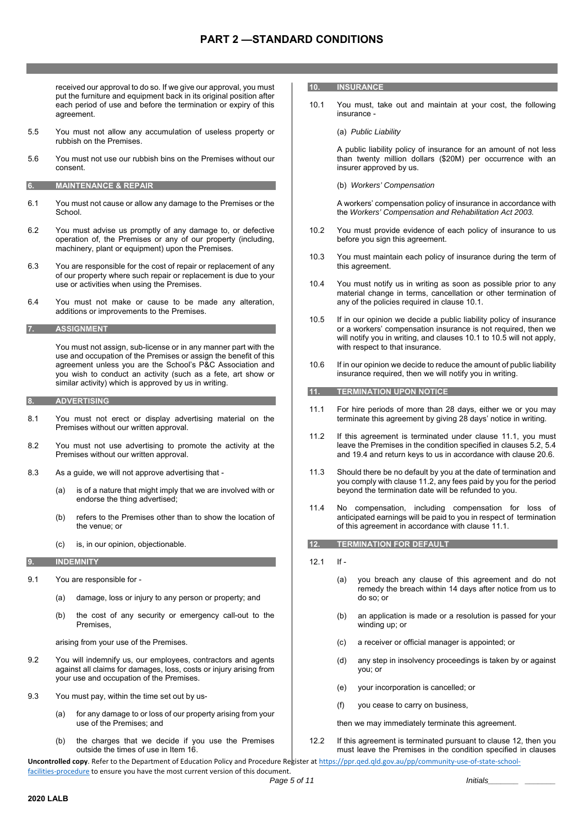received our approval to do so. If we give our approval, you must put the furniture and equipment back in its original position after each period of use and before the termination or expiry of this agreement.

- 5.5 You must not allow any accumulation of useless property or rubbish on the Premises.
- 5.6 You must not use our rubbish bins on the Premises without our consent.

## **6. MAINTENANCE & REPAIR**

- 6.1 You must not cause or allow any damage to the Premises or the School.
- 6.2 You must advise us promptly of any damage to, or defective operation of, the Premises or any of our property (including, machinery, plant or equipment) upon the Premises.
- 6.3 You are responsible for the cost of repair or replacement of any of our property where such repair or replacement is due to your use or activities when using the Premises.
- 6.4 You must not make or cause to be made any alteration, additions or improvements to the Premises.

**7. ASSIGNMENT** 

You must not assign, sub-license or in any manner part with the use and occupation of the Premises or assign the benefit of this agreement unless you are the School's P&C Association and you wish to conduct an activity (such as a fete, art show or similar activity) which is approved by us in writing.

#### **8. ADVERTISING**

- 8.1 You must not erect or display advertising material on the Premises without our written approval.
- 8.2 You must not use advertising to promote the activity at the Premises without our written approval.
- 8.3 As a guide, we will not approve advertising that
	- (a) is of a nature that might imply that we are involved with or endorse the thing advertised;
	- (b) refers to the Premises other than to show the location of the venue; or
	- (c) is, in our opinion, objectionable.

#### **9. INDEMNITY**

- 9.1 You are responsible for
	- (a) damage, loss or injury to any person or property; and
	- (b) the cost of any security or emergency call-out to the Premises,

arising from your use of the Premises.

- 9.2 You will indemnify us, our employees, contractors and agents against all claims for damages, loss, costs or injury arising from your use and occupation of the Premises.
- 9.3 You must pay, within the time set out by us-
	- (a) for any damage to or loss of our property arising from your use of the Premises; and
	- (b) the charges that we decide if you use the Premises outside the times of use in Item 16.

#### **10. INSURANCE**

10.1 You must, take out and maintain at your cost, the following insurance -

(a) *Public Liability* 

A public liability policy of insurance for an amount of not less than twenty million dollars (\$20M) per occurrence with an insurer approved by us.

(b) *Workers' Compensation*

A workers' compensation policy of insurance in accordance with the *Workers' Compensation and Rehabilitation Act 2003.*

- 10.2 You must provide evidence of each policy of insurance to us before you sign this agreement.
- 10.3 You must maintain each policy of insurance during the term of this agreement.
- 10.4 You must notify us in writing as soon as possible prior to any material change in terms, cancellation or other termination of any of the policies required in clause 10.1.
- 10.5 If in our opinion we decide a public liability policy of insurance or a workers' compensation insurance is not required, then we will notify you in writing, and clauses 10.1 to 10.5 will not apply, with respect to that insurance.
- 10.6 If in our opinion we decide to reduce the amount of public liability insurance required, then we will notify you in writing.

## **11. TERMINATION UPON NOTICE**

- 11.1 For hire periods of more than 28 days, either we or you may terminate this agreement by giving 28 days' notice in writing.
- 11.2 If this agreement is terminated under clause 11.1, you must leave the Premises in the condition specified in clauses 5.2, 5.4 and 19.4 and return keys to us in accordance with clause 20.6.
- 11.3 Should there be no default by you at the date of termination and you comply with clause 11.2, any fees paid by you for the period beyond the termination date will be refunded to you.
- 11.4 No compensation, including compensation for loss of anticipated earnings will be paid to you in respect of termination of this agreement in accordance with clause 11.1.

### **12. TERMINATION FOR DEFAULT**

- 12.1 If
	- (a) you breach any clause of this agreement and do not remedy the breach within 14 days after notice from us to do so; or
	- (b) an application is made or a resolution is passed for your winding up; or
	- (c) a receiver or official manager is appointed; or
	- (d) any step in insolvency proceedings is taken by or against you; or
	- (e) your incorporation is cancelled; or
	- (f) you cease to carry on business,

then we may immediately terminate this agreement.

12.2 If this agreement is terminated pursuant to clause 12, then you must leave the Premises in the condition specified in clauses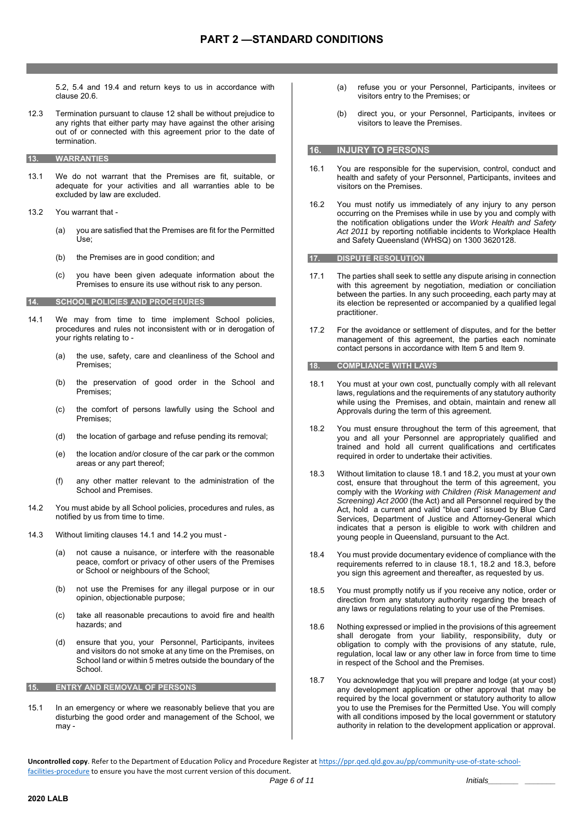5.2, 5.4 and 19.4 and return keys to us in accordance with clause 20.6.

- 12.3 Termination pursuant to clause 12 shall be without prejudice to any rights that either party may have against the other arising out of or connected with this agreement prior to the date of termination.
- **13. WARRANTIES**
- 13.1 We do not warrant that the Premises are fit, suitable, or adequate for your activities and all warranties able to be excluded by law are excluded.
- 13.2 You warrant that
	- (a) you are satisfied that the Premises are fit for the Permitted Use;
	- (b) the Premises are in good condition; and
	- (c) you have been given adequate information about the Premises to ensure its use without risk to any person.

#### **14. SCHOOL POLICIES AND PROCEDURES**

- 14.1 We may from time to time implement School policies, procedures and rules not inconsistent with or in derogation of your rights relating to -
	- (a) the use, safety, care and cleanliness of the School and Premises;
	- (b) the preservation of good order in the School and Premises;
	- (c) the comfort of persons lawfully using the School and Premises;
	- (d) the location of garbage and refuse pending its removal;
	- (e) the location and/or closure of the car park or the common areas or any part thereof;
	- (f) any other matter relevant to the administration of the School and Premises.
- 14.2 You must abide by all School policies, procedures and rules, as notified by us from time to time.
- 14.3 Without limiting clauses 14.1 and 14.2 you must
	- (a) not cause a nuisance, or interfere with the reasonable peace, comfort or privacy of other users of the Premises or School or neighbours of the School;
	- (b) not use the Premises for any illegal purpose or in our opinion, objectionable purpose;
	- (c) take all reasonable precautions to avoid fire and health hazards; and
	- (d) ensure that you, your Personnel, Participants, invitees and visitors do not smoke at any time on the Premises, on School land or within 5 metres outside the boundary of the School.

#### **15. ENTRY AND REMOVAL OF PERSONS**

15.1 In an emergency or where we reasonably believe that you are disturbing the good order and management of the School, we may -

- (a) refuse you or your Personnel, Participants, invitees or visitors entry to the Premises; or
- (b) direct you, or your Personnel, Participants, invitees or visitors to leave the Premises.

## **16. INJURY TO PERSONS**

- 16.1 You are responsible for the supervision, control, conduct and health and safety of your Personnel, Participants, invitees and visitors on the Premises.
- 16.2 You must notify us immediately of any injury to any person occurring on the Premises while in use by you and comply with the notification obligations under the *Work Health and Safety Act 2011* by reporting notifiable incidents to Workplace Health and Safety Queensland (WHSQ) on 1300 3620128.

## **17. DISPUTE RESOLUTION**

- 17.1 The parties shall seek to settle any dispute arising in connection with this agreement by negotiation, mediation or conciliation between the parties. In any such proceeding, each party may at its election be represented or accompanied by a qualified legal practitioner.
- 17.2 For the avoidance or settlement of disputes, and for the better management of this agreement, the parties each nominate contact persons in accordance with Item 5 and Item 9.

#### **18. COMPLIANCE WITH LAWS**

- 18.1 You must at your own cost, punctually comply with all relevant laws, regulations and the requirements of any statutory authority while using the Premises, and obtain, maintain and renew all Approvals during the term of this agreement.
- 18.2 You must ensure throughout the term of this agreement, that you and all your Personnel are appropriately qualified and trained and hold all current qualifications and certificates required in order to undertake their activities.
- 18.3 Without limitation to clause 18.1 and 18.2, you must at your own cost, ensure that throughout the term of this agreement, you comply with the *Working with Children (Risk Management and Screening) Act 2000* (the Act) and all Personnel required by the Act, hold a current and valid "blue card" issued by Blue Card Services, Department of Justice and Attorney-General which indicates that a person is eligible to work with children and young people in Queensland, pursuant to the Act.
- 18.4 You must provide documentary evidence of compliance with the requirements referred to in clause 18.1, 18.2 and 18.3, before you sign this agreement and thereafter, as requested by us.
- 18.5 You must promptly notify us if you receive any notice, order or direction from any statutory authority regarding the breach of any laws or regulations relating to your use of the Premises.
- 18.6 Nothing expressed or implied in the provisions of this agreement shall derogate from your liability, responsibility, duty or obligation to comply with the provisions of any statute, rule, regulation, local law or any other law in force from time to time in respect of the School and the Premises.
- 18.7 You acknowledge that you will prepare and lodge (at your cost) any development application or other approval that may be required by the local government or statutory authority to allow you to use the Premises for the Permitted Use. You will comply with all conditions imposed by the local government or statutory authority in relation to the development application or approval.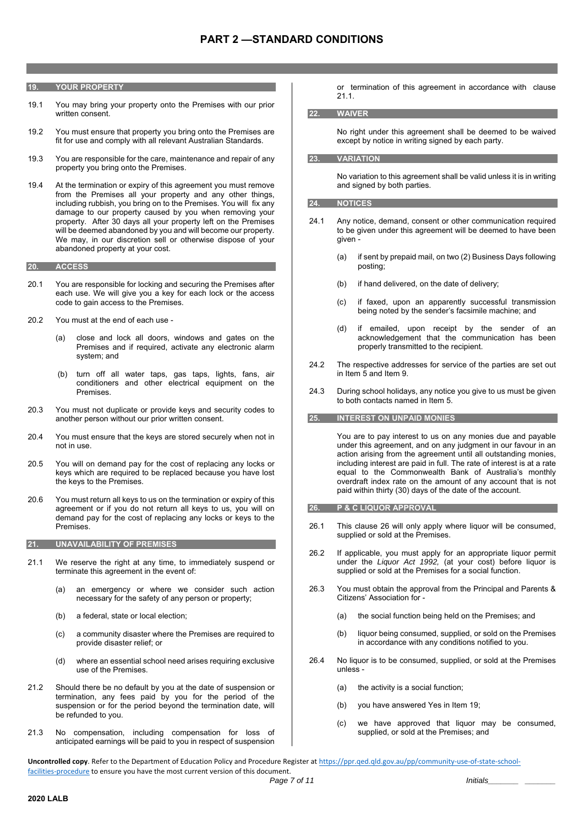#### **19. YOUR PROPERTY**

- 19.1 You may bring your property onto the Premises with our prior written consent.
- 19.2 You must ensure that property you bring onto the Premises are fit for use and comply with all relevant Australian Standards.
- 19.3 You are responsible for the care, maintenance and repair of any property you bring onto the Premises.
- 19.4 At the termination or expiry of this agreement you must remove from the Premises all your property and any other things, including rubbish, you bring on to the Premises. You will fix any damage to our property caused by you when removing your property. After 30 days all your property left on the Premises will be deemed abandoned by you and will become our property. We may, in our discretion sell or otherwise dispose of your abandoned property at your cost.

#### **20. ACCESS**

- 20.1 You are responsible for locking and securing the Premises after each use. We will give you a key for each lock or the access code to gain access to the Premises.
- 20.2 You must at the end of each use
	- (a) close and lock all doors, windows and gates on the Premises and if required, activate any electronic alarm system; and
	- (b) turn off all water taps, gas taps, lights, fans, air conditioners and other electrical equipment on the Premises.
- 20.3 You must not duplicate or provide keys and security codes to another person without our prior written consent.
- 20.4 You must ensure that the keys are stored securely when not in not in use.
- 20.5 You will on demand pay for the cost of replacing any locks or keys which are required to be replaced because you have lost the keys to the Premises.
- 20.6 You must return all keys to us on the termination or expiry of this agreement or if you do not return all keys to us, you will on demand pay for the cost of replacing any locks or keys to the **Premises**

#### **21. UNAVAILABILITY OF PREMISES**

- 21.1 We reserve the right at any time, to immediately suspend or terminate this agreement in the event of:
	- (a) an emergency or where we consider such action necessary for the safety of any person or property;
	- (b) a federal, state or local election;
	- (c) a community disaster where the Premises are required to provide disaster relief; or
	- (d) where an essential school need arises requiring exclusive use of the Premises.
- 21.2 Should there be no default by you at the date of suspension or termination, any fees paid by you for the period of the suspension or for the period beyond the termination date, will be refunded to you.
- 21.3 No compensation, including compensation for loss of anticipated earnings will be paid to you in respect of suspension

or termination of this agreement in accordance with clause 21.1.

#### **22. WAIVER**

No right under this agreement shall be deemed to be waived except by notice in writing signed by each party.

#### **23. VARIATION**

No variation to this agreement shall be valid unless it is in writing and signed by both parties.

#### **24. NOTICES**

- 24.1 Any notice, demand, consent or other communication required to be given under this agreement will be deemed to have been given -
	- (a) if sent by prepaid mail, on two (2) Business Days following posting;
	- (b) if hand delivered, on the date of delivery;
	- (c) if faxed, upon an apparently successful transmission being noted by the sender's facsimile machine; and
	- (d) if emailed, upon receipt by the sender of an acknowledgement that the communication has been properly transmitted to the recipient.
- 24.2 The respective addresses for service of the parties are set out in Item 5 and Item 9.
- 24.3 During school holidays, any notice you give to us must be given to both contacts named in Item 5.

#### **25. INTEREST ON UNPAID MONIES**

You are to pay interest to us on any monies due and payable under this agreement, and on any judgment in our favour in an action arising from the agreement until all outstanding monies, including interest are paid in full. The rate of interest is at a rate equal to the Commonwealth Bank of Australia's monthly overdraft index rate on the amount of any account that is not paid within thirty (30) days of the date of the account.

#### **26. P & C LIQUOR APPROVAL**

- 26.1 This clause 26 will only apply where liquor will be consumed, supplied or sold at the Premises.
- 26.2 If applicable, you must apply for an appropriate liquor permit under the *Liquor Act 1992,* (at your cost) before liquor is supplied or sold at the Premises for a social function.
- 26.3 You must obtain the approval from the Principal and Parents & Citizens' Association for -
	- (a) the social function being held on the Premises; and
	- (b) liquor being consumed, supplied, or sold on the Premises in accordance with any conditions notified to you.
- 26.4 No liquor is to be consumed, supplied, or sold at the Premises unless -
	- (a) the activity is a social function;
	- (b) you have answered Yes in Item 19;
	- (c) we have approved that liquor may be consumed, supplied, or sold at the Premises; and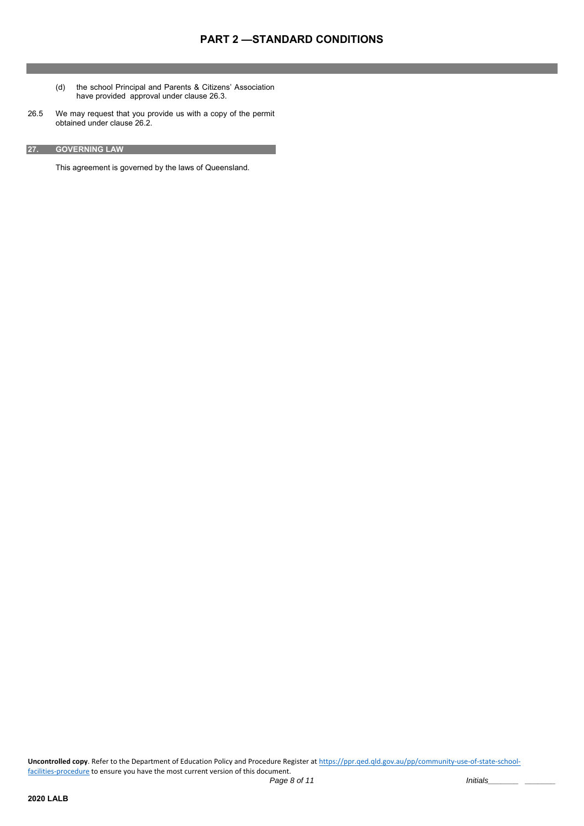- (d) the school Principal and Parents & Citizens' Association have provided approval under clause 26.3.
- 26.5 We may request that you provide us with a copy of the permit obtained under clause 26.2.
- **27. GOVERNING LAW**

This agreement is governed by the laws of Queensland.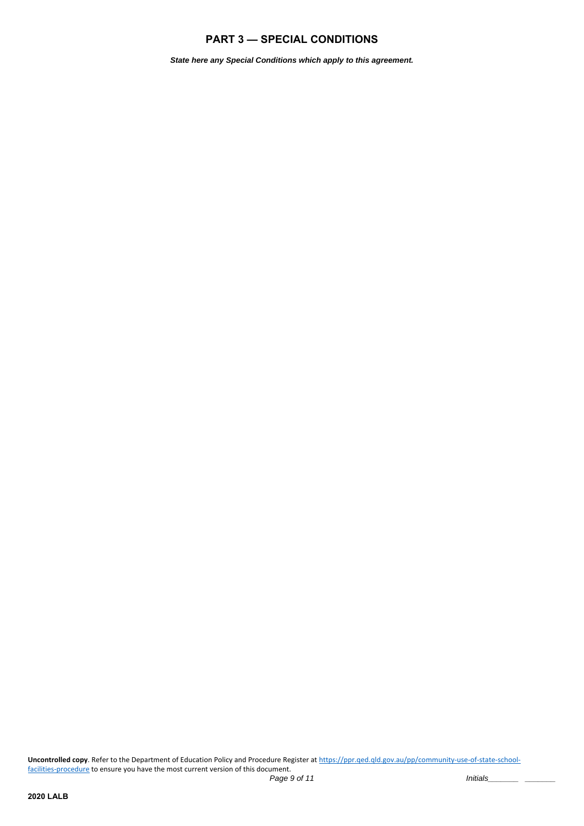# **PART 3 — SPECIAL CONDITIONS**

*State here any Special Conditions which apply to this agreement.*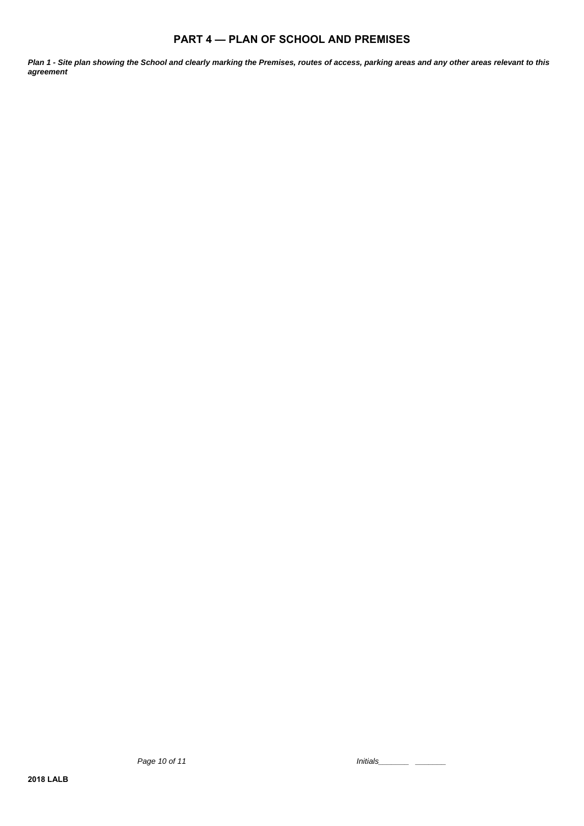# **PART 4 — PLAN OF SCHOOL AND PREMISES**

*Plan 1 - Site plan showing the School and clearly marking the Premises, routes of access, parking areas and any other areas relevant to this agreement*